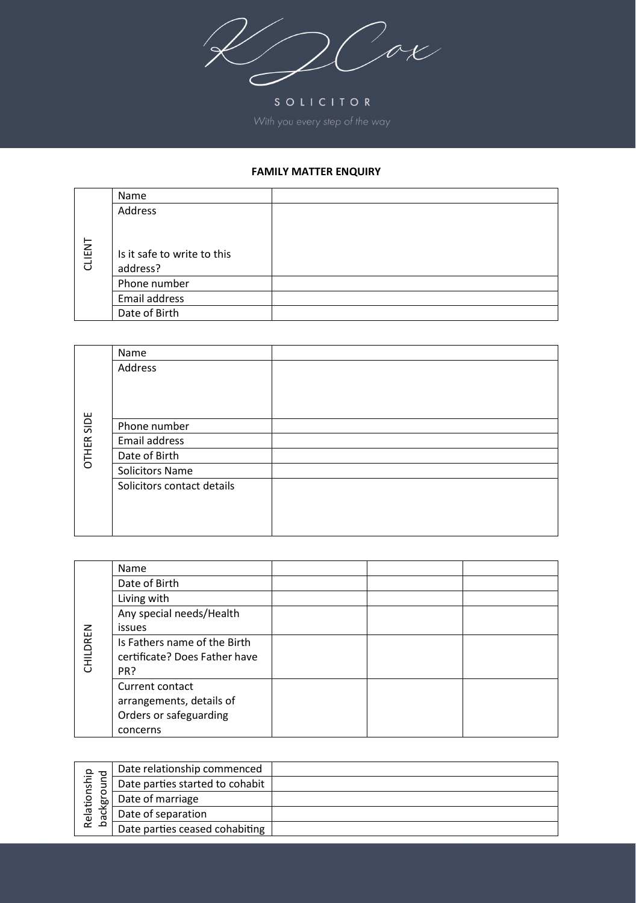$\mathcal{C}$ ox

SOLICITOR

## **FAMILY MATTER ENQUIRY**

|        | Name                        |  |
|--------|-----------------------------|--|
|        | Address                     |  |
|        |                             |  |
|        |                             |  |
| CLIENT | Is it safe to write to this |  |
|        | address?                    |  |
|        | Phone number                |  |
|        | Email address               |  |
|        | Date of Birth               |  |

|            | Name                       |  |
|------------|----------------------------|--|
|            | Address                    |  |
|            |                            |  |
|            |                            |  |
|            |                            |  |
| OTHER SIDE | Phone number               |  |
|            | Email address              |  |
|            | Date of Birth              |  |
|            | <b>Solicitors Name</b>     |  |
|            | Solicitors contact details |  |
|            |                            |  |
|            |                            |  |
|            |                            |  |

|          | Name                          |  |  |
|----------|-------------------------------|--|--|
|          | Date of Birth                 |  |  |
|          | Living with                   |  |  |
|          | Any special needs/Health      |  |  |
|          | <i>issues</i>                 |  |  |
| CHILDREN | Is Fathers name of the Birth  |  |  |
|          | certificate? Does Father have |  |  |
|          | PR?                           |  |  |
|          | Current contact               |  |  |
|          | arrangements, details of      |  |  |
|          | Orders or safeguarding        |  |  |
|          | concerns                      |  |  |

| ship<br>Relation<br>ᇝ<br>Q | Date relationship commenced     |  |
|----------------------------|---------------------------------|--|
|                            | Date parties started to cohabit |  |
|                            | Date of marriage                |  |
|                            | Date of separation              |  |
|                            | Date parties ceased cohabiting  |  |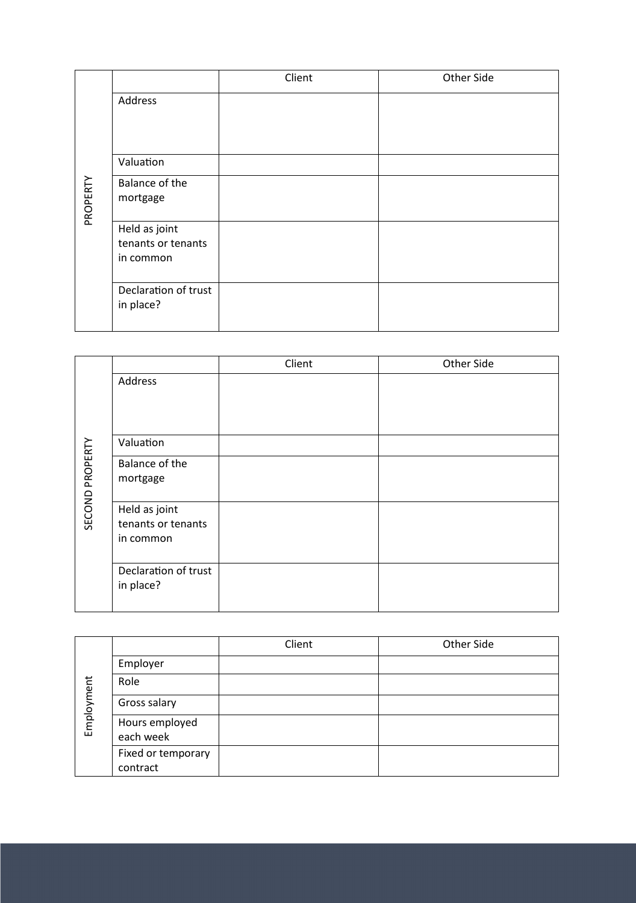|          |                                                  | Client | Other Side |
|----------|--------------------------------------------------|--------|------------|
|          | Address                                          |        |            |
|          | Valuation                                        |        |            |
| PROPERTY | Balance of the<br>mortgage                       |        |            |
|          | Held as joint<br>tenants or tenants<br>in common |        |            |
|          | Declaration of trust<br>in place?                |        |            |

|                 |                      | Client | Other Side |
|-----------------|----------------------|--------|------------|
|                 | Address              |        |            |
|                 |                      |        |            |
|                 |                      |        |            |
| SECOND PROPERTY | Valuation            |        |            |
|                 | Balance of the       |        |            |
|                 | mortgage             |        |            |
|                 | Held as joint        |        |            |
|                 | tenants or tenants   |        |            |
|                 | in common            |        |            |
|                 | Declaration of trust |        |            |
|                 | in place?            |        |            |
|                 |                      |        |            |

| Employment |                                | Client | Other Side |
|------------|--------------------------------|--------|------------|
|            | Employer                       |        |            |
|            | Role                           |        |            |
|            | Gross salary                   |        |            |
|            | Hours employed<br>each week    |        |            |
|            | Fixed or temporary<br>contract |        |            |